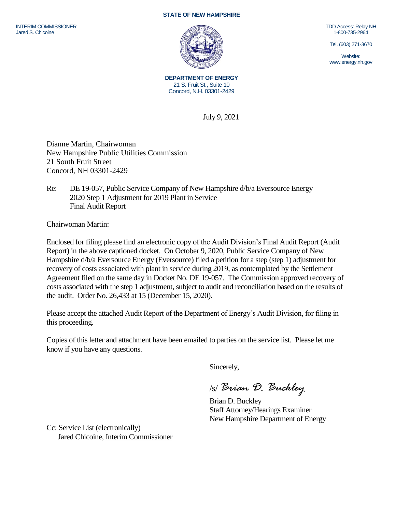## **STATE OF NEW HAMPSHIRE**



**DEPARTMENT OF ENERGY** 21 S. Fruit St., Suite 10 Concord, N.H. 03301-2429

July 9, 2021

Dianne Martin, Chairwoman New Hampshire Public Utilities Commission 21 South Fruit Street Concord, NH 03301-2429

Re: DE 19-057, Public Service Company of New Hampshire d/b/a Eversource Energy 2020 Step 1 Adjustment for 2019 Plant in Service Final Audit Report

Chairwoman Martin:

Enclosed for filing please find an electronic copy of the Audit Division's Final Audit Report (Audit Report) in the above captioned docket. On October 9, 2020, Public Service Company of New Hampshire d/b/a Eversource Energy (Eversource) filed a petition for a step (step 1) adjustment for recovery of costs associated with plant in service during 2019, as contemplated by the Settlement Agreement filed on the same day in Docket No. DE 19-057. The Commission approved recovery of costs associated with the step 1 adjustment, subject to audit and reconciliation based on the results of the audit. Order No. 26,433 at 15 (December 15, 2020).

Please accept the attached Audit Report of the Department of Energy's Audit Division, for filing in this proceeding.

Copies of this letter and attachment have been emailed to parties on the service list. Please let me know if you have any questions.

Sincerely,

/s/ *Brian D. Buckley*

Brian D. Buckley Staff Attorney/Hearings Examiner New Hampshire Department of Energy

Cc: Service List (electronically) Jared Chicoine, Interim Commissioner TDD Access: Relay NH 1-800-735-2964

Tel. (603) 271-3670

Website: www.energy.nh.gov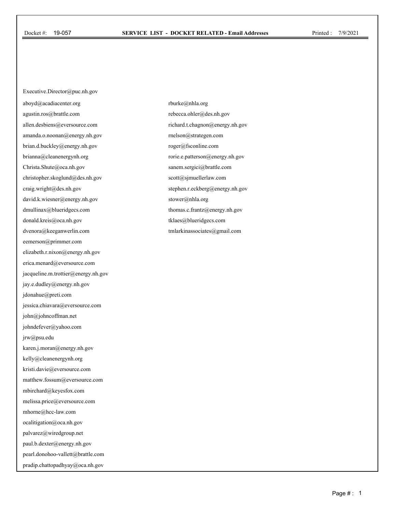Executive.Director@puc.nh.gov aboyd@acadiacenter.org agustin.ros@brattle.com allen.desbiens@eversource.com amanda.o.noonan@energy.nh.gov brian.d.buckley@energy.nh.gov brianna@cleanenergynh.org Christa.Shute@oca.nh.gov christopher.skoglund@des.nh.gov craig.wright@des.nh.gov david.k.wiesner@energy.nh.gov dmullinax@blueridgecs.com donald.kreis@oca.nh.gov dvenora@keeganwerlin.com eemerson@primmer.com elizabeth.r.nixon@energy.nh.gov erica.menard@eversource.com jacqueline.m.trottier@energy.nh.gov jay.e.dudley@energy.nh.gov jdonahue@preti.com jessica.chiavara@eversource.com john@johncoffman.net johndefever@yahoo.com jrw@psu.edu karen.j.moran@energy.nh.gov kelly@cleanenergynh.org kristi.davie@eversource.com matthew.fossum@eversource.com mbirchard@keyesfox.com melissa.price@eversource.com mhorne@hcc-law.com ocalitigation@oca.nh.gov palvarez@wiredgroup.net paul.b.dexter@energy.nh.gov pearl.donohoo-vallett@brattle.com pradip.chattopadhyay@oca.nh.gov

rburke@nhla.org rebecca.ohler@des.nh.gov richard.t.chagnon@energy.nh.gov rnelson@strategen.com roger@fsconline.com rorie.e.patterson@energy.nh.gov sanem.sergici@brattle.com scott@sjmuellerlaw.com stephen.r.eckberg@energy.nh.gov stower@nhla.org thomas.c.frantz@energy.nh.gov tklaes@blueridgecs.com tmlarkinassociates@gmail.com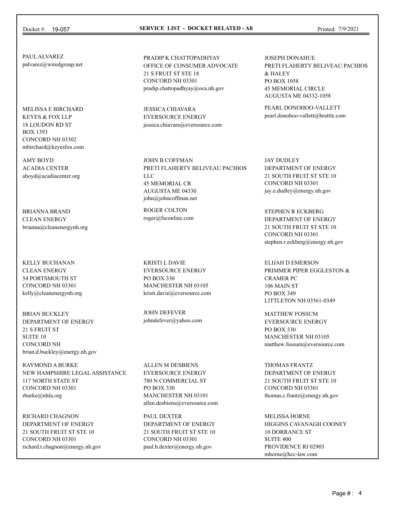## Docket #: 19-057 **SERVICE LIST - DOCKET RELATED - All** Printed: 7/9/2021

PAUL ALVAREZ palvarez@wiredgroup.net

MELISSA E BIRCHARD KEYES & FOX LLP 18 LOUDON RD ST BOX 1393 CONCORD NH 03302 mbirchard@keyesfox.com

AMY BOYD ACADIA CENTER aboyd@acadiacenter.org

BRIANNA BRAND CLEAN ENERGY brianna@cleanenergynh.org

KELLY BUCHANAN CLEAN ENERGY 54 PORTSMOUTH ST CONCORD NH 03301 kelly@cleanenergynh.org

BRIAN BUCKLEY DEPARTMENT OF ENERGY 21 S FRUIT ST SUITE 10 CONCORD NH brian.d.buckley@energy.nh.gov

RAYMOND A BURKE NEW HAMPSHIRE LEGAL ASSISTANCE 117 NORTH STATE ST CONCORD NH 03301 rburke@nhla.org

RICHARD CHAGNON DEPARTMENT OF ENERGY 21 SOUTH FRUIT ST STE 10 CONCORD NH 03301 richard.t.chagnon@energy.nh.gov PRADIP K CHATTOPADHYAY OFFICE OF CONSUMER ADVOCATE 21 S FRUIT ST STE 18 CONCORD NH 03301 pradip.chattopadhyay@oca.nh.gov

JESSICA CHIAVARA EVERSOURCE ENERGY jessica.chiavara@eversource.com

JOHN B COFFMAN PRETI FLAHERTY BELIVEAU PACHIOS LLC 45 MEMORIAL CR AUGUSTA ME 04330 john@johncoffman.net

ROGER COLTON roger@fsconline.com

KRISTI L DAVIE EVERSOURCE ENERGY PO BOX 330 MANCHESTER NH 03105 kristi.davie@eversource.com

JOHN DEFEVER johndefever@yahoo.com

ALLEN M DESBIENS EVERSOURCE ENERGY 780 N COMMERCIAL ST PO BOX 330 MANCHESTER NH 03101 allen.desbiens@eversource.com

PAUL DEXTER DEPARTMENT OF ENERGY 21 SOUTH FRUIT ST STE 10 CONCORD NH 03301 paul.b.dexter@energy.nh.gov

JOSEPH DONAHUE PRETI FLAHERTY BELIVEAU PACHIOS & HALEY PO BOX 1058 45 MEMORIAL CIRCLE AUGUSTA ME 04332-1058

PEARL DONOHOO-VALLETT pearl.donohoo-vallett@brattle.com

JAY DUDLEY DEPARTMENT OF ENERGY 21 SOUTH FRUIT ST STE 10 CONCORD NH 03301 jay.e.dudley@energy.nh.gov

STEPHEN R ECKBERG DEPARTMENT OF ENERGY 21 SOUTH FRUIT ST STE 10 CONCORD NH 03301 stephen.r.eckberg@energy.nh.gov

ELIJAH D EMERSON PRIMMER PIPER EGGLESTON & CRAMER PC 106 MAIN ST PO BOX 349 LITTLETON NH 03561-0349

MATTHEW FOSSUM EVERSOURCE ENERGY PO BOX 330 MANCHESTER NH 03105 matthew.fossum@eversource.com

THOMAS FRANTZ DEPARTMENT OF ENERGY 21 SOUTH FRUIT ST STE 10 CONCORD NH 03301 thomas.c.frantz@energy.nh.gov

MELISSA HORNE HIGGINS CAVANAGH COONEY 10 DORRANCE ST SUITE 400 PROVIDENCE RI 02903 mhorne@hcc-law.com